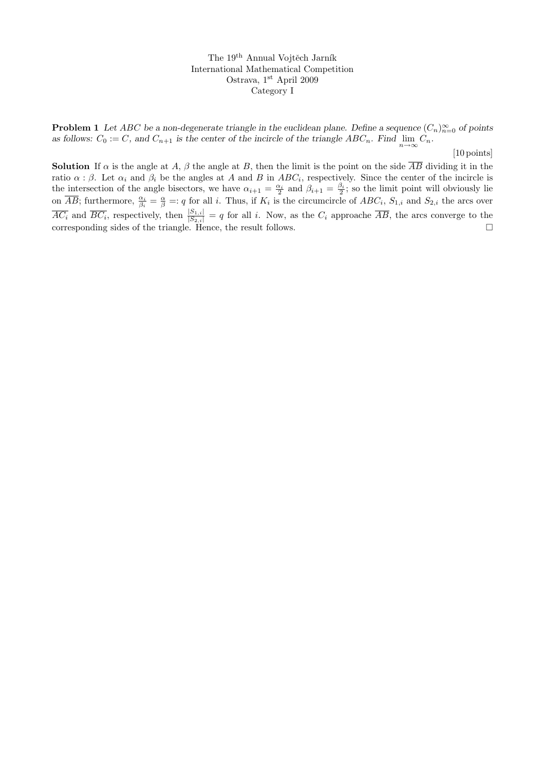The 19<sup>th</sup> Annual Vojtěch Jarník International Mathematical Competition Ostrava, 1st April 2009 Category I

**Problem 1** Let ABC be a non-degenerate triangle in the euclidean plane. Define a sequence  $(C_n)_{n=0}^{\infty}$  of points as follows:  $C_0 := C$ , and  $C_{n+1}$  is the center of the incircle of the triangle  $ABC_n$ . Find  $\lim_{n \to \infty} C_n$ .

[10 points]

**Solution** If  $\alpha$  is the angle at A,  $\beta$  the angle at B, then the limit is the point on the side  $\overline{AB}$  dividing it in the ratio  $\alpha$ :  $\beta$ . Let  $\alpha_i$  and  $\beta_i$  be the angles at A and B in ABC<sub>i</sub>, respectively. Since the center of the incircle is the intersection of the angle bisectors, we have  $\alpha_{i+1} = \frac{\alpha_i}{2}$  and  $\beta_{i+1} = \frac{\beta_i}{2}$ ; so the limit point will obviously lie on  $\overline{AB}$ ; furthermore,  $\frac{\alpha_i}{\beta_i} = \frac{\alpha}{\beta} =: q$  for all i. Thus, if  $K_i$  is the circumcircle of  $ABC_i$ ,  $S_{1,i}$  and  $S_{2,i}$  the arcs over  $\overline{AC_i}$  and  $\overline{BC_i}$ , respectively, then  $\frac{|S_{1,i}|}{|S_{2,i}|} = q$  for all i. Now, as the  $C_i$  approache  $\overline{AB}$ , the arcs converge to the corresponding sides of the triangle. Hence, the result follows.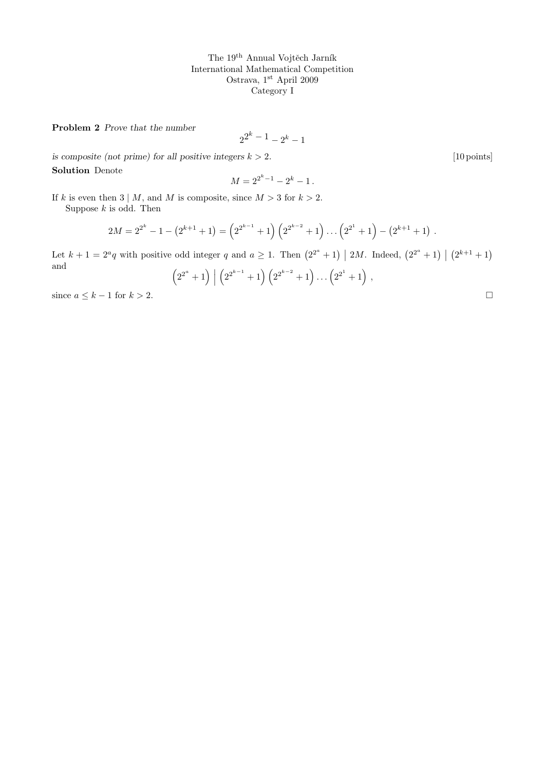The  $19<sup>th</sup>$  Annual Vojtěch Jarník International Mathematical Competition Ostrava, $1^\mathrm{st}$  April 2009 Category I

Problem 2 Prove that the number

$$
2^{2^k - 1} - 2^k - 1
$$

is composite (not prime) for all positive integers  $k > 2$ . [10 points] Solution Denote

$$
M = 2^{2^k - 1} - 2^k - 1.
$$

If k is even then  $3 \mid M$ , and M is composite, since  $M > 3$  for  $k > 2$ .

Suppose  $k$  is odd. Then

$$
2M = 2^{2^k} - 1 - (2^{k+1} + 1) = (2^{2^{k-1}} + 1) (2^{2^{k-2}} + 1) \dots (2^{2^1} + 1) - (2^{k+1} + 1).
$$

Let  $k+1=2^a q$  with positive odd integer q and  $a\geq 1$ . Then  $(2^{2^a}+1)\mid 2M$ . Indeed,  $(2^{2^a}+1)\mid (2^{k+1}+1)$ and

$$
\left(2^{2^a} + 1\right) \Big| \left(2^{2^{k-1}} + 1\right) \left(2^{2^{k-2}} + 1\right) \dots \left(2^{2^1} + 1\right),\n\tag{2.4.1}
$$
\n
$$
\text{since } a \leq k - 1 \text{ for } k > 2.
$$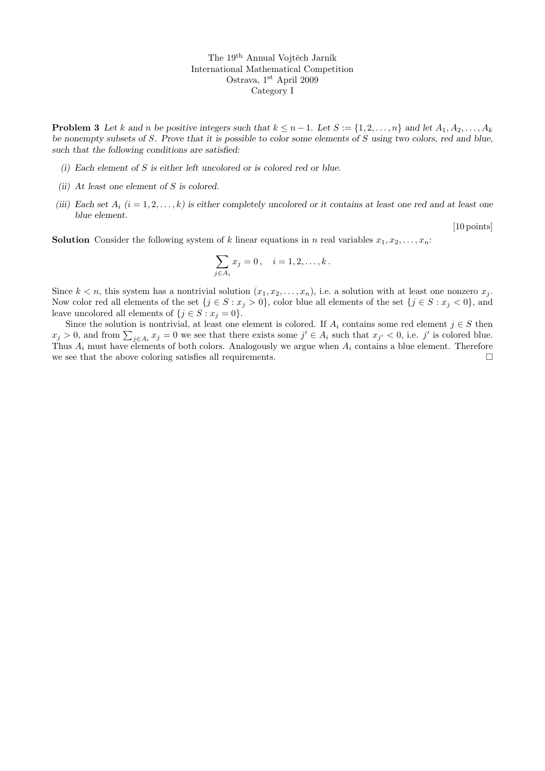The 19<sup>th</sup> Annual Vojtěch Jarník International Mathematical Competition Ostrava, 1<sup>st</sup> April 2009 Category I

**Problem 3** Let k and n be positive integers such that  $k \leq n-1$ . Let  $S := \{1, 2, ..., n\}$  and let  $A_1, A_2, ..., A_k$ be nonempty subsets of S. Prove that it is possible to color some elements of S using two colors, red and blue, such that the following conditions are satisfied:

- (i) Each element of S is either left uncolored or is colored red or blue.
- (ii) At least one element of S is colored.
- (iii) Each set  $A_i$  ( $i = 1, 2, ..., k$ ) is either completely uncolored or it contains at least one red and at least one blue element.

[10 points]

**Solution** Consider the following system of k linear equations in n real variables  $x_1, x_2, \ldots, x_n$ :

$$
\sum_{j\in A_i} x_j = 0, \quad i = 1, 2, \dots, k.
$$

Since  $k < n$ , this system has a nontrivial solution  $(x_1, x_2, \ldots, x_n)$ , i.e. a solution with at least one nonzero  $x_j$ . Now color red all elements of the set  $\{j \in S : x_j > 0\}$ , color blue all elements of the set  $\{j \in S : x_j < 0\}$ , and leave uncolored all elements of  $\{j \in S : x_j = 0\}.$ 

Since the solution is nontrivial, at least one element is colored. If  $A_i$  contains some red element  $j \in S$  then  $x_j > 0$ , and from  $\sum_{j \in A_i} x_j = 0$  we see that there exists some  $j' \in A_i$  such that  $x_{j'} < 0$ , i.e. j' is colored blue. Thus  $A_i$  must have elements of both colors. Analogously we argue when  $A_i$  contains a blue element. Therefore we see that the above coloring satisfies all requirements.  $\Box$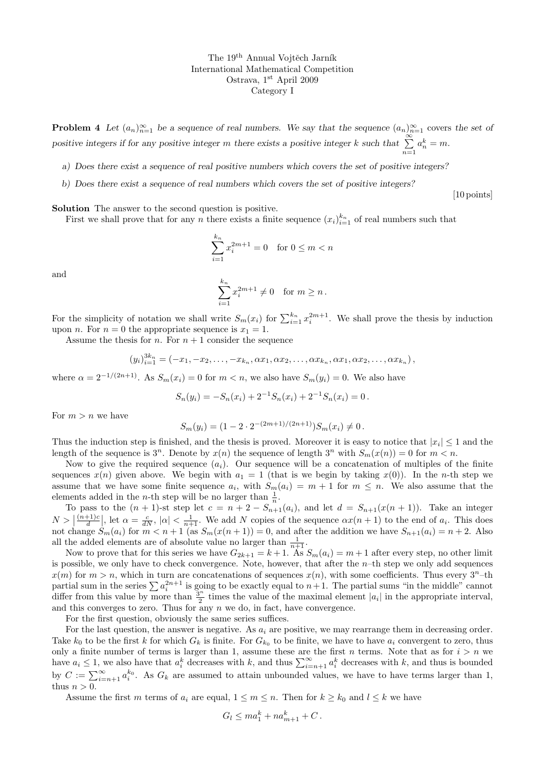The 19<sup>th</sup> Annual Vojtěch Jarník International Mathematical Competition Ostrava, 1<sup>st</sup> April 2009 Category I

**Problem 4** Let  $(a_n)_{n=1}^{\infty}$  be a sequence of real numbers. We say that the sequence  $(a_n)_{n=1}^{\infty}$  covers the set of positive integers if for any positive integer m there exists a positive integer k such that  $\sum_{n=1}^{\infty} a_n^k = m$ .

a) Does there exist a sequence of real positive numbers which covers the set of positive integers?

b) Does there exist a sequence of real numbers which covers the set of positive integers?

[10 points]

Solution The answer to the second question is positive.

First we shall prove that for any n there exists a finite sequence  $(x_i)_{i=1}^{k_n}$  of real numbers such that

$$
\sum_{i=1}^{k_n} x_i^{2m+1} = 0 \quad \text{for } 0 \le m < n
$$

and

$$
\sum_{i=1}^{k_n} x_i^{2m+1} \neq 0 \quad \text{for } m \ge n.
$$

For the simplicity of notation we shall write  $S_m(x_i)$  for  $\sum_{i=1}^{k_n} x_i^{2m+1}$ . We shall prove the thesis by induction upon *n*. For  $n = 0$  the appropriate sequence is  $x_1 = 1$ .

Assume the thesis for *n*. For  $n + 1$  consider the sequence

$$
(y_i)_{i=1}^{3k_n} = (-x_1, -x_2, \ldots, -x_{k_n}, \alpha x_1, \alpha x_2, \ldots, \alpha x_{k_n}, \alpha x_1, \alpha x_2, \ldots, \alpha x_{k_n}),
$$

where  $\alpha = 2^{-1/(2n+1)}$ . As  $S_m(x_i) = 0$  for  $m < n$ , we also have  $S_m(y_i) = 0$ . We also have

$$
S_n(y_i) = -S_n(x_i) + 2^{-1}S_n(x_i) + 2^{-1}S_n(x_i) = 0.
$$

For  $m > n$  we have

$$
S_m(y_i) = (1 - 2 \cdot 2^{-(2m+1)/(2n+1)}) S_m(x_i) \neq 0.
$$

Thus the induction step is finished, and the thesis is proved. Moreover it is easy to notice that  $|x_i| \leq 1$  and the length of the sequence is  $3^n$ . Denote by  $x(n)$  the sequence of length  $3^n$  with  $S_m(x(n)) = 0$  for  $m < n$ .

Now to give the required sequence  $(a_i)$ . Our sequence will be a concatenation of multiples of the finite sequences  $x(n)$  given above. We begin with  $a_1 = 1$  (that is we begin by taking  $x(0)$ ). In the *n*-th step we assume that we have some finite sequence  $a_i$ , with  $S_m(a_i) = m + 1$  for  $m \leq n$ . We also assume that the elements added in the *n*-th step will be no larger than  $\frac{1}{n}$ .

To pass to the  $(n + 1)$ -st step let  $c = n + 2 - S_{n+1}(a_i)$ , and let  $d = S_{n+1}(x(n + 1))$ . Take an integer  $N > \left| \frac{(n+1)c}{d} \right|$  $\frac{d+1}{d}$ , let  $\alpha = \frac{c}{dN}$ ,  $|\alpha| < \frac{1}{n+1}$ . We add N copies of the sequence  $\alpha x(n+1)$  to the end of  $a_i$ . This does not change  $S_m(a_i)$  for  $m < n + 1$  (as  $S_m(x(n+1)) = 0$ , and after the addition we have  $S_{n+1}(a_i) = n+2$ . Also all the added elements are of absolute value no larger than  $\frac{1}{n+1}$ .

Now to prove that for this series we have  $G_{2k+1} = k+1$ . As  $S_m(a_i) = m+1$  after every step, no other limit is possible, we only have to check convergence. Note, however, that after the  $n$ -th step we only add sequences  $x(m)$  for  $m > n$ , which in turn are concatenations of sequences  $x(n)$ , with some coefficients. Thus every  $3<sup>n</sup>$ -th partial sum in the series  $\sum a_i^{2n+1}$  is going to be exactly equal to  $n+1$ . The partial sums "in the middle" cannot differ from this value by more than  $\frac{3^n}{2}$  $\frac{3^{n}}{2}$  times the value of the maximal element  $|a_{i}|$  in the appropriate interval, and this converges to zero. Thus for any  $n \leq d$ , in fact, have convergence.

For the first question, obviously the same series suffices.

For the last question, the answer is negative. As  $a_i$  are positive, we may rearrange them in decreasing order. Take  $k_0$  to be the first k for which  $G_k$  is finite. For  $G_{k_0}$  to be finite, we have to have  $a_i$  convergent to zero, thus only a finite number of terms is larger than 1, assume these are the first n terms. Note that as for  $i > n$  we have  $a_i \leq 1$ , we also have that  $a_i^k$  decreases with k, and thus  $\sum_{i=n+1}^{\infty} a_i^k$  decreases with k, and thus is bounded by  $C := \sum_{i=n+1}^{\infty} a_i^{k_0}$ . As  $G_k$  are assumed to attain unbounded values, we have to have terms larger than 1, thus  $n > 0$ .

Assume the first m terms of  $a_i$  are equal,  $1 \le m \le n$ . Then for  $k \ge k_0$  and  $l \le k$  we have

$$
G_l \leq ma_1^k + na_{m+1}^k + C.
$$